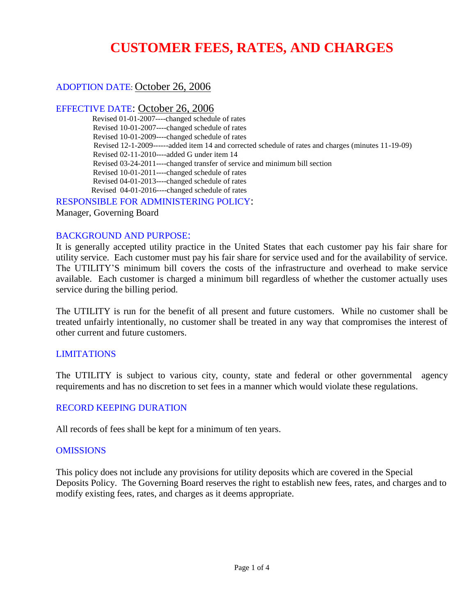## **CUSTOMER FEES, RATES, AND CHARGES**

### ADOPTION DATE: October 26, 2006

### EFFECTIVE DATE: October 26, 2006

Revised 01-01-2007----changed schedule of rates Revised 10-01-2007----changed schedule of rates Revised 10-01-2009----changed schedule of rates Revised 12-1-2009------added item 14 and corrected schedule of rates and charges (minutes 11-19-09) Revised 02-11-2010----added G under item 14 Revised 03-24-2011----changed transfer of service and minimum bill section Revised 10-01-2011----changed schedule of rates Revised 04-01-2013----changed schedule of rates Revised 04-01-2016----changed schedule of rates

RESPONSIBLE FOR ADMINISTERING POLICY:

Manager, Governing Board

### BACKGROUND AND PURPOSE:

It is generally accepted utility practice in the United States that each customer pay his fair share for utility service. Each customer must pay his fair share for service used and for the availability of service. The UTILITY'S minimum bill covers the costs of the infrastructure and overhead to make service available. Each customer is charged a minimum bill regardless of whether the customer actually uses service during the billing period.

The UTILITY is run for the benefit of all present and future customers. While no customer shall be treated unfairly intentionally, no customer shall be treated in any way that compromises the interest of other current and future customers.

### LIMITATIONS

The UTILITY is subject to various city, county, state and federal or other governmental agency requirements and has no discretion to set fees in a manner which would violate these regulations.

### RECORD KEEPING DURATION

All records of fees shall be kept for a minimum of ten years.

### **OMISSIONS**

This policy does not include any provisions for utility deposits which are covered in the Special Deposits Policy. The Governing Board reserves the right to establish new fees, rates, and charges and to modify existing fees, rates, and charges as it deems appropriate.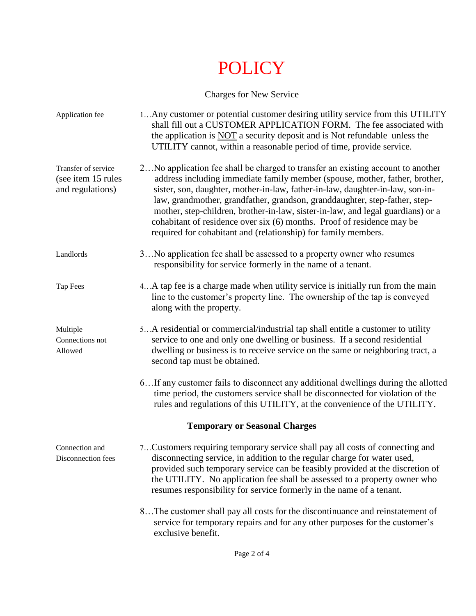# POLICY

## Charges for New Service

| Application fee                                               | 1Any customer or potential customer desiring utility service from this UTILITY<br>shall fill out a CUSTOMER APPLICATION FORM. The fee associated with<br>the application is NOT a security deposit and is Not refundable unless the<br>UTILITY cannot, within a reasonable period of time, provide service.                                                                                                                                                                                                                                                   |  |  |
|---------------------------------------------------------------|---------------------------------------------------------------------------------------------------------------------------------------------------------------------------------------------------------------------------------------------------------------------------------------------------------------------------------------------------------------------------------------------------------------------------------------------------------------------------------------------------------------------------------------------------------------|--|--|
| Transfer of service<br>(see item 15 rules<br>and regulations) | 2 No application fee shall be charged to transfer an existing account to another<br>address including immediate family member (spouse, mother, father, brother,<br>sister, son, daughter, mother-in-law, father-in-law, daughter-in-law, son-in-<br>law, grandmother, grandfather, grandson, granddaughter, step-father, step-<br>mother, step-children, brother-in-law, sister-in-law, and legal guardians) or a<br>cohabitant of residence over six (6) months. Proof of residence may be<br>required for cohabitant and (relationship) for family members. |  |  |
| Landlords                                                     | 3No application fee shall be assessed to a property owner who resumes<br>responsibility for service formerly in the name of a tenant.                                                                                                                                                                                                                                                                                                                                                                                                                         |  |  |
| Tap Fees                                                      | 4 A tap fee is a charge made when utility service is initially run from the main<br>line to the customer's property line. The ownership of the tap is conveyed<br>along with the property.                                                                                                                                                                                                                                                                                                                                                                    |  |  |
| Multiple<br>Connections not<br>Allowed                        | 5A residential or commercial/industrial tap shall entitle a customer to utility<br>service to one and only one dwelling or business. If a second residential<br>dwelling or business is to receive service on the same or neighboring tract, a<br>second tap must be obtained.                                                                                                                                                                                                                                                                                |  |  |
|                                                               | 6If any customer fails to disconnect any additional dwellings during the allotted<br>time period, the customers service shall be disconnected for violation of the<br>rules and regulations of this UTILITY, at the convenience of the UTILITY.                                                                                                                                                                                                                                                                                                               |  |  |
| <b>Temporary or Seasonal Charges</b>                          |                                                                                                                                                                                                                                                                                                                                                                                                                                                                                                                                                               |  |  |
| Connection and<br>Disconnection fees                          | 7Customers requiring temporary service shall pay all costs of connecting and<br>disconnecting service, in addition to the regular charge for water used,<br>provided such temporary service can be feasibly provided at the discretion of<br>the UTILITY. No application fee shall be assessed to a property owner who<br>resumes responsibility for service formerly in the name of a tenant.                                                                                                                                                                |  |  |
|                                                               | 8The customer shall pay all costs for the discontinuance and reinstatement of<br>service for temporary repairs and for any other purposes for the customer's<br>exclusive benefit.                                                                                                                                                                                                                                                                                                                                                                            |  |  |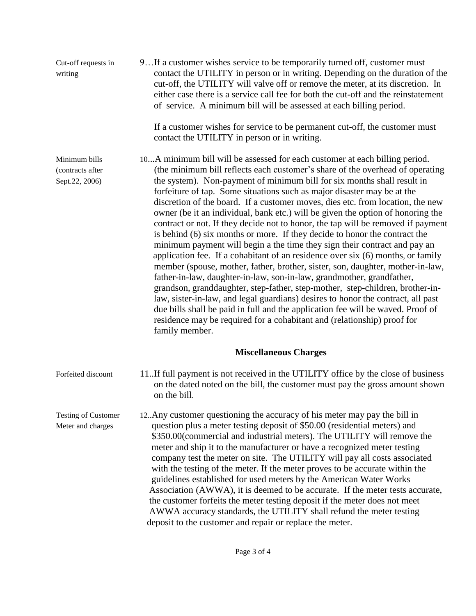| Cut-off requests in<br>writing                      | 9If a customer wishes service to be temporarily turned off, customer must<br>contact the UTILITY in person or in writing. Depending on the duration of the<br>cut-off, the UTILITY will valve off or remove the meter, at its discretion. In<br>either case there is a service call fee for both the cut-off and the reinstatement<br>of service. A minimum bill will be assessed at each billing period.                                                                                                                                                                                                                                                                                                                                                                                                                                                                                                                                                                                                                                                                                                                                                                                                                                                                                                                                 |
|-----------------------------------------------------|-------------------------------------------------------------------------------------------------------------------------------------------------------------------------------------------------------------------------------------------------------------------------------------------------------------------------------------------------------------------------------------------------------------------------------------------------------------------------------------------------------------------------------------------------------------------------------------------------------------------------------------------------------------------------------------------------------------------------------------------------------------------------------------------------------------------------------------------------------------------------------------------------------------------------------------------------------------------------------------------------------------------------------------------------------------------------------------------------------------------------------------------------------------------------------------------------------------------------------------------------------------------------------------------------------------------------------------------|
|                                                     | If a customer wishes for service to be permanent cut-off, the customer must<br>contact the UTILITY in person or in writing.                                                                                                                                                                                                                                                                                                                                                                                                                                                                                                                                                                                                                                                                                                                                                                                                                                                                                                                                                                                                                                                                                                                                                                                                               |
| Minimum bills<br>(contracts after<br>Sept.22, 2006) | 10A minimum bill will be assessed for each customer at each billing period.<br>(the minimum bill reflects each customer's share of the overhead of operating<br>the system). Non-payment of minimum bill for six months shall result in<br>forfeiture of tap. Some situations such as major disaster may be at the<br>discretion of the board. If a customer moves, dies etc. from location, the new<br>owner (be it an individual, bank etc.) will be given the option of honoring the<br>contract or not. If they decide not to honor, the tap will be removed if payment<br>is behind (6) six months or more. If they decide to honor the contract the<br>minimum payment will begin a the time they sign their contract and pay an<br>application fee. If a cohabitant of an residence over six (6) months, or family<br>member (spouse, mother, father, brother, sister, son, daughter, mother-in-law,<br>father-in-law, daughter-in-law, son-in-law, grandmother, grandfather,<br>grandson, granddaughter, step-father, step-mother, step-children, brother-in-<br>law, sister-in-law, and legal guardians) desires to honor the contract, all past<br>due bills shall be paid in full and the application fee will be waved. Proof of<br>residence may be required for a cohabitant and (relationship) proof for<br>family member. |
|                                                     | <b>Miscellaneous Charges</b>                                                                                                                                                                                                                                                                                                                                                                                                                                                                                                                                                                                                                                                                                                                                                                                                                                                                                                                                                                                                                                                                                                                                                                                                                                                                                                              |
| Forfeited discount                                  | 11. If full payment is not received in the UTILITY office by the close of business<br>on the dated noted on the bill, the customer must pay the gross amount shown<br>on the bill.                                                                                                                                                                                                                                                                                                                                                                                                                                                                                                                                                                                                                                                                                                                                                                                                                                                                                                                                                                                                                                                                                                                                                        |
| <b>Testing of Customer</b><br>Meter and charges     | 12. Any customer questioning the accuracy of his meter may pay the bill in<br>question plus a meter testing deposit of \$50.00 (residential meters) and<br>\$350.00(commercial and industrial meters). The UTILITY will remove the<br>meter and ship it to the manufacturer or have a recognized meter testing<br>company test the meter on site. The UTILITY will pay all costs associated<br>with the testing of the meter. If the meter proves to be accurate within the<br>guidelines established for used meters by the American Water Works<br>Association (AWWA), it is deemed to be accurate. If the meter tests accurate,<br>the customer forfeits the meter testing deposit if the meter does not meet<br>AWWA accuracy standards, the UTILITY shall refund the meter testing<br>deposit to the customer and repair or replace the meter.                                                                                                                                                                                                                                                                                                                                                                                                                                                                                       |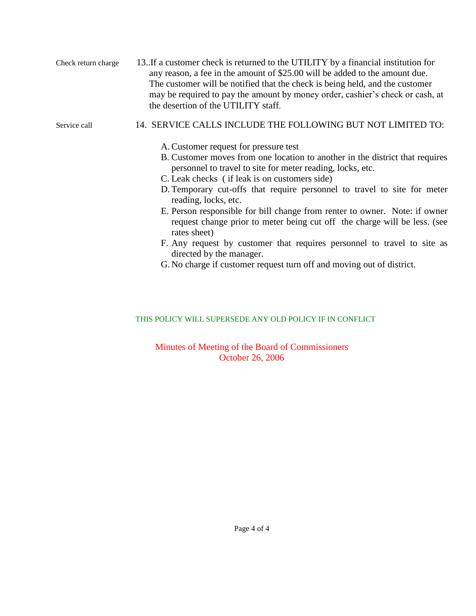Check return charge 13..If a customer check is returned to the UTILITY by a financial institution for any reason, a fee in the amount of \$25.00 will be added to the amount due. The customer will be notified that the check is being held, and the customer may be required to pay the amount by money order, cashier's check or cash, at the desertion of the UTILITY staff.

### Service call 14. SERVICE CALLS INCLUDE THE FOLLOWING BUT NOT LIMITED TO:

- A.Customer request for pressure test
- B. Customer moves from one location to another in the district that requires personnel to travel to site for meter reading, locks, etc.
- C. Leak checks ( if leak is on customers side)
- D. Temporary cut-offs that require personnel to travel to site for meter reading, locks, etc.
- E. Person responsible for bill change from renter to owner. Note: if owner request change prior to meter being cut off the charge will be less. (see rates sheet)
- F. Any request by customer that requires personnel to travel to site as directed by the manager.
- G. No charge if customer request turn off and moving out of district.

### THIS POLICY WILL SUPERSEDE ANY OLD POLICY IF IN CONFLICT

Minutes of Meeting of the Board of Commissioners October 26, 2006